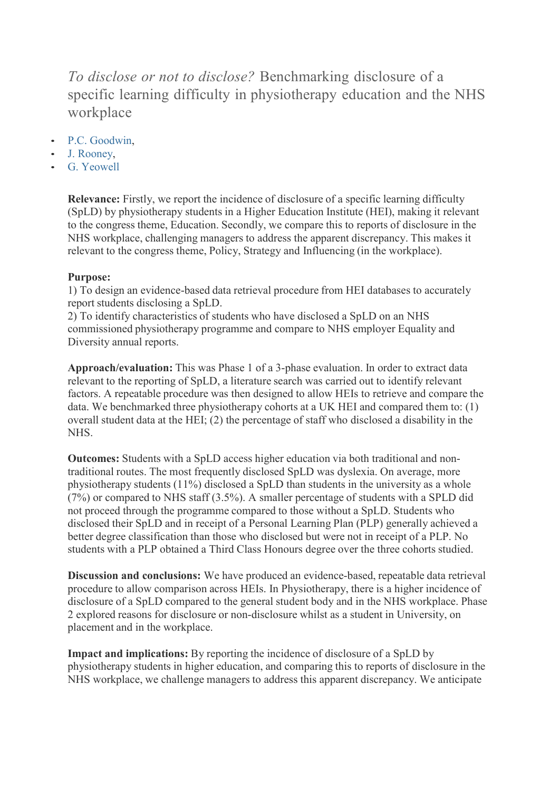*To disclose or not to disclose?* Benchmarking disclosure of a specific learning difficulty in physiotherapy education and the NHS workplace

- P.C. Goodwin,
- J. Rooney,
- G. Yeowell

**Relevance:** Firstly, we report the incidence of disclosure of a specific learning difficulty (SpLD) by physiotherapy students in a Higher Education Institute (HEI), making it relevant to the congress theme, Education. Secondly, we compare this to reports of disclosure in the NHS workplace, challenging managers to address the apparent discrepancy. This makes it relevant to the congress theme, Policy, Strategy and Influencing (in the workplace).

## **Purpose:**

1) To design an evidence-based data retrieval procedure from HEI databases to accurately report students disclosing a SpLD.

2) To identify characteristics of students who have disclosed a SpLD on an NHS commissioned physiotherapy programme and compare to NHS employer Equality and Diversity annual reports.

Approach/evaluation: This was Phase 1 of a 3-phase evaluation. In order to extract data relevant to the reporting of SpLD, a literature search was carried out to identify relevant factors. A repeatable procedure was then designed to allow HEIs to retrieve and compare the data. We benchmarked three physiotherapy cohorts at a UK HEI and compared them to: (1) overall student data at the HEI; (2) the percentage of staff who disclosed a disability in the NHS.

**Outcomes:** Students with a SpLD access higher education via both traditional and nontraditional routes. The most frequently disclosed SpLD was dyslexia. On average, more physiotherapy students (11%) disclosed a SpLD than students in the university as a whole (7%) or compared to NHS staff (3.5%). A smaller percentage of students with a SPLD did not proceed through the programme compared to those without a SpLD. Students who disclosed their SpLD and in receipt of a Personal Learning Plan (PLP) generally achieved a better degree classification than those who disclosed but were not in receipt of a PLP. No students with a PLP obtained a Third Class Honours degree over the three cohorts studied.

**Discussion and conclusions:** We have produced an evidence-based, repeatable data retrieval procedure to allow comparison across HEIs. In Physiotherapy, there is a higher incidence of disclosure of a SpLD compared to the general student body and in the NHS workplace. Phase 2 explored reasons for disclosure or non-disclosure whilst as a student in University, on placement and in the workplace.

**Impact and implications:** By reporting the incidence of disclosure of a SpLD by physiotherapy students in higher education, and comparing this to reports of disclosure in the NHS workplace, we challenge managers to address this apparent discrepancy. We anticipate